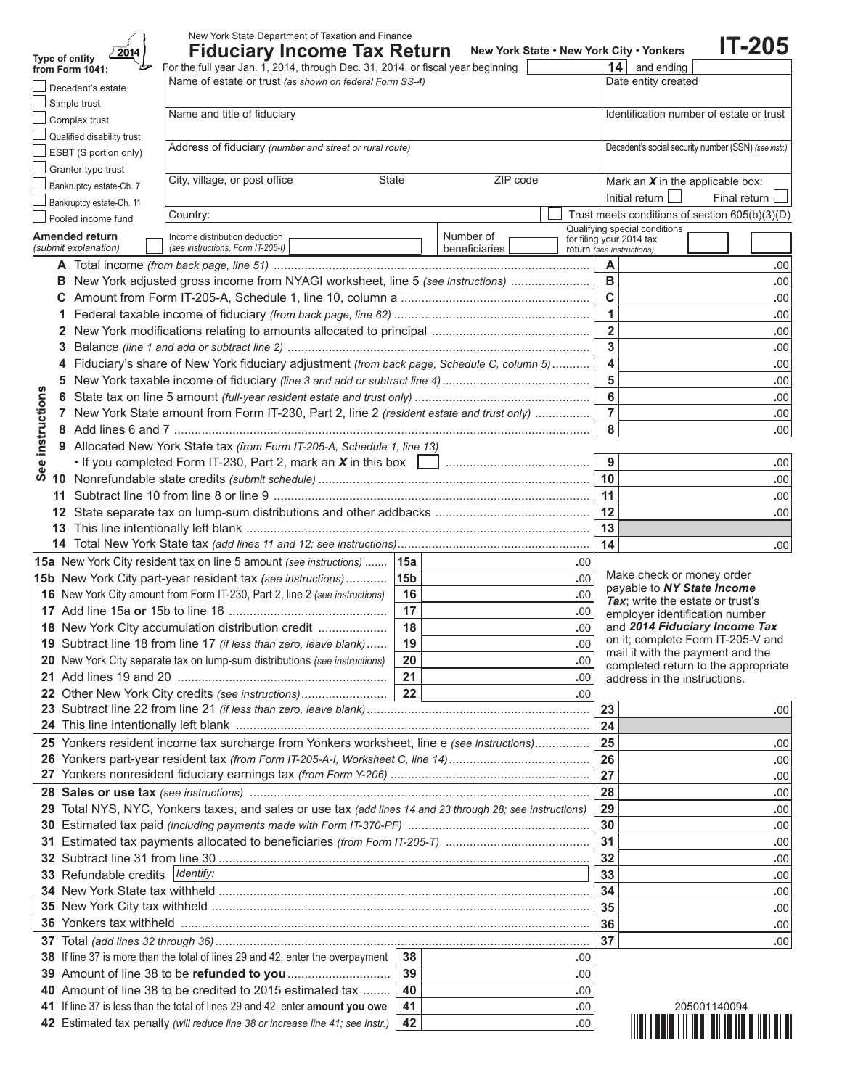|              | New York State Department of Taxation and Finance                                                                                                                  |                                                                                                                            |                                                                                                                                                         |                  |                                                           | <b>IT-205</b>                                                                                                                                                                                                                             |  |  |  |
|--------------|--------------------------------------------------------------------------------------------------------------------------------------------------------------------|----------------------------------------------------------------------------------------------------------------------------|---------------------------------------------------------------------------------------------------------------------------------------------------------|------------------|-----------------------------------------------------------|-------------------------------------------------------------------------------------------------------------------------------------------------------------------------------------------------------------------------------------------|--|--|--|
|              | <b>Fiduciary Income Tax Return</b><br>2014<br>Type of entity<br>For the full year Jan. 1, 2014, through Dec. 31, 2014, or fiscal year beginning<br>from Form 1041: |                                                                                                                            | New York State . New York City . Yonkers<br>$14$ and ending                                                                                             |                  |                                                           |                                                                                                                                                                                                                                           |  |  |  |
|              | Name of estate or trust (as shown on federal Form SS-4)                                                                                                            |                                                                                                                            |                                                                                                                                                         |                  | Date entity created                                       |                                                                                                                                                                                                                                           |  |  |  |
|              | Decedent's estate<br>Simple trust                                                                                                                                  |                                                                                                                            |                                                                                                                                                         |                  |                                                           |                                                                                                                                                                                                                                           |  |  |  |
|              | Name and title of fiduciary<br>Complex trust                                                                                                                       |                                                                                                                            |                                                                                                                                                         |                  | Identification number of estate or trust                  |                                                                                                                                                                                                                                           |  |  |  |
|              | Qualified disability trust                                                                                                                                         |                                                                                                                            |                                                                                                                                                         |                  |                                                           |                                                                                                                                                                                                                                           |  |  |  |
|              | Address of fiduciary (number and street or rural route)<br>ESBT (S portion only)                                                                                   |                                                                                                                            |                                                                                                                                                         |                  |                                                           | Decedent's social security number (SSN) (see instr.)                                                                                                                                                                                      |  |  |  |
|              | Grantor type trust                                                                                                                                                 |                                                                                                                            |                                                                                                                                                         |                  |                                                           |                                                                                                                                                                                                                                           |  |  |  |
|              | City, village, or post office<br>State<br>Bankruptcy estate-Ch. 7                                                                                                  |                                                                                                                            | ZIP code                                                                                                                                                |                  | Mark an $X$ in the applicable box:                        |                                                                                                                                                                                                                                           |  |  |  |
|              | Bankruptcy estate-Ch. 11                                                                                                                                           |                                                                                                                            |                                                                                                                                                         |                  | Initial return                                            |                                                                                                                                                                                                                                           |  |  |  |
|              | Country:<br>Pooled income fund                                                                                                                                     |                                                                                                                            |                                                                                                                                                         |                  |                                                           |                                                                                                                                                                                                                                           |  |  |  |
|              | Amended return<br>Income distribution deduction                                                                                                                    |                                                                                                                            | Number of                                                                                                                                               |                  | Qualifying special conditions<br>for filing your 2014 tax |                                                                                                                                                                                                                                           |  |  |  |
|              | (submit explanation)<br>(see instructions, Form IT-205-I)                                                                                                          |                                                                                                                            | beneficiaries                                                                                                                                           |                  | return (see instructions)                                 |                                                                                                                                                                                                                                           |  |  |  |
|              |                                                                                                                                                                    |                                                                                                                            |                                                                                                                                                         |                  | A                                                         |                                                                                                                                                                                                                                           |  |  |  |
|              | B New York adjusted gross income from NYAGI worksheet, line 5 (see instructions)                                                                                   |                                                                                                                            |                                                                                                                                                         |                  | B                                                         |                                                                                                                                                                                                                                           |  |  |  |
|              | C<br>1                                                                                                                                                             |                                                                                                                            |                                                                                                                                                         |                  |                                                           |                                                                                                                                                                                                                                           |  |  |  |
|              |                                                                                                                                                                    |                                                                                                                            |                                                                                                                                                         |                  |                                                           | Final return<br>Trust meets conditions of section 605(b)(3)(D)<br>.00<br>.00<br>.00<br>.00<br>.00<br>.00<br>.00<br>.00<br>.00<br>.00<br>.00<br>.00<br>.00<br>.00<br>.00<br>.00<br>Make check or money order<br>pavable to NY State Income |  |  |  |
|              |                                                                                                                                                                    | $\overline{2}$<br>3                                                                                                        |                                                                                                                                                         |                  |                                                           |                                                                                                                                                                                                                                           |  |  |  |
|              | Fiduciary's share of New York fiduciary adjustment (from back page, Schedule C, column 5)                                                                          |                                                                                                                            |                                                                                                                                                         |                  | $\overline{\mathbf{4}}$                                   |                                                                                                                                                                                                                                           |  |  |  |
|              | 5.                                                                                                                                                                 |                                                                                                                            |                                                                                                                                                         |                  | 5                                                         |                                                                                                                                                                                                                                           |  |  |  |
|              | 6                                                                                                                                                                  |                                                                                                                            |                                                                                                                                                         |                  | $6\phantom{1}6$                                           |                                                                                                                                                                                                                                           |  |  |  |
|              | 7 New York State amount from Form IT-230, Part 2, line 2 (resident estate and trust only)                                                                          |                                                                                                                            |                                                                                                                                                         |                  | $\overline{7}$                                            |                                                                                                                                                                                                                                           |  |  |  |
| instructions |                                                                                                                                                                    |                                                                                                                            |                                                                                                                                                         |                  | 8                                                         |                                                                                                                                                                                                                                           |  |  |  |
|              | 9 Allocated New York State tax (from Form IT-205-A, Schedule 1, line 13)                                                                                           |                                                                                                                            |                                                                                                                                                         |                  |                                                           |                                                                                                                                                                                                                                           |  |  |  |
| ee           |                                                                                                                                                                    |                                                                                                                            |                                                                                                                                                         |                  | 9                                                         |                                                                                                                                                                                                                                           |  |  |  |
| ທ            |                                                                                                                                                                    |                                                                                                                            |                                                                                                                                                         |                  | 10                                                        |                                                                                                                                                                                                                                           |  |  |  |
|              | 11                                                                                                                                                                 |                                                                                                                            |                                                                                                                                                         |                  | 11                                                        |                                                                                                                                                                                                                                           |  |  |  |
|              |                                                                                                                                                                    |                                                                                                                            | 12                                                                                                                                                      |                  |                                                           |                                                                                                                                                                                                                                           |  |  |  |
|              |                                                                                                                                                                    |                                                                                                                            |                                                                                                                                                         |                  |                                                           |                                                                                                                                                                                                                                           |  |  |  |
|              |                                                                                                                                                                    |                                                                                                                            | 13<br>14                                                                                                                                                |                  |                                                           |                                                                                                                                                                                                                                           |  |  |  |
|              | 15a New York City resident tax on line 5 amount (see instructions)  15a                                                                                            |                                                                                                                            |                                                                                                                                                         | .00              |                                                           |                                                                                                                                                                                                                                           |  |  |  |
|              | 15b New York City part-year resident tax (see instructions)                                                                                                        | 15b                                                                                                                        |                                                                                                                                                         | .00              |                                                           |                                                                                                                                                                                                                                           |  |  |  |
|              | 16 New York City amount from Form IT-230, Part 2, line 2 (see instructions)                                                                                        | 16                                                                                                                         |                                                                                                                                                         | .00              |                                                           |                                                                                                                                                                                                                                           |  |  |  |
|              |                                                                                                                                                                    | 17                                                                                                                         |                                                                                                                                                         | .00              |                                                           |                                                                                                                                                                                                                                           |  |  |  |
|              | 18 New York City accumulation distribution credit                                                                                                                  | 18                                                                                                                         | Tax; write the estate or trust's<br>employer identification number<br>and 2014 Fiduciary Income Tax<br>.00.<br>on it; complete Form IT-205-V and<br>.00 |                  |                                                           |                                                                                                                                                                                                                                           |  |  |  |
|              | 19 Subtract line 18 from line 17 (if less than zero, leave blank)                                                                                                  | 19                                                                                                                         |                                                                                                                                                         |                  |                                                           |                                                                                                                                                                                                                                           |  |  |  |
|              | 20 New York City separate tax on lump-sum distributions (see instructions)                                                                                         | mail it with the payment and the<br>20<br>.00<br>completed return to the appropriate<br>21<br>address in the instructions. |                                                                                                                                                         |                  |                                                           |                                                                                                                                                                                                                                           |  |  |  |
|              |                                                                                                                                                                    | .00                                                                                                                        |                                                                                                                                                         |                  |                                                           |                                                                                                                                                                                                                                           |  |  |  |
|              | 22 Other New York City credits (see instructions)                                                                                                                  | 22                                                                                                                         |                                                                                                                                                         | .00              |                                                           |                                                                                                                                                                                                                                           |  |  |  |
|              |                                                                                                                                                                    |                                                                                                                            |                                                                                                                                                         |                  | 23                                                        | .00                                                                                                                                                                                                                                       |  |  |  |
|              |                                                                                                                                                                    |                                                                                                                            |                                                                                                                                                         |                  | 24                                                        |                                                                                                                                                                                                                                           |  |  |  |
|              | 25 Yonkers resident income tax surcharge from Yonkers worksheet, line e (see instructions)                                                                         |                                                                                                                            |                                                                                                                                                         |                  | 25                                                        | .00                                                                                                                                                                                                                                       |  |  |  |
|              |                                                                                                                                                                    |                                                                                                                            |                                                                                                                                                         |                  | 26<br>27                                                  | .00                                                                                                                                                                                                                                       |  |  |  |
|              |                                                                                                                                                                    |                                                                                                                            |                                                                                                                                                         |                  |                                                           | .00                                                                                                                                                                                                                                       |  |  |  |
|              | 29 Total NYS, NYC, Yonkers taxes, and sales or use tax (add lines 14 and 23 through 28; see instructions)                                                          |                                                                                                                            |                                                                                                                                                         |                  | 28<br>29                                                  | .00                                                                                                                                                                                                                                       |  |  |  |
|              |                                                                                                                                                                    |                                                                                                                            |                                                                                                                                                         |                  | 30                                                        | .00<br>.00                                                                                                                                                                                                                                |  |  |  |
|              |                                                                                                                                                                    |                                                                                                                            |                                                                                                                                                         |                  | 31                                                        | .00                                                                                                                                                                                                                                       |  |  |  |
|              |                                                                                                                                                                    |                                                                                                                            |                                                                                                                                                         |                  | 32                                                        | .00                                                                                                                                                                                                                                       |  |  |  |
|              | 33 Refundable credits   Identify:                                                                                                                                  |                                                                                                                            |                                                                                                                                                         |                  |                                                           |                                                                                                                                                                                                                                           |  |  |  |
|              |                                                                                                                                                                    | the control of the control of the control of the control of the control of the control of                                  |                                                                                                                                                         |                  |                                                           |                                                                                                                                                                                                                                           |  |  |  |
|              |                                                                                                                                                                    |                                                                                                                            |                                                                                                                                                         |                  | 34<br>35                                                  | .00<br>.00                                                                                                                                                                                                                                |  |  |  |
|              |                                                                                                                                                                    |                                                                                                                            |                                                                                                                                                         |                  |                                                           |                                                                                                                                                                                                                                           |  |  |  |
|              |                                                                                                                                                                    |                                                                                                                            |                                                                                                                                                         |                  | 36<br>37                                                  | .00<br>.00                                                                                                                                                                                                                                |  |  |  |
|              | 38 If line 37 is more than the total of lines 29 and 42, enter the overpayment                                                                                     | 38                                                                                                                         |                                                                                                                                                         | .00              |                                                           |                                                                                                                                                                                                                                           |  |  |  |
|              |                                                                                                                                                                    | 39                                                                                                                         |                                                                                                                                                         | .00              |                                                           |                                                                                                                                                                                                                                           |  |  |  |
|              | 40 Amount of line 38 to be credited to 2015 estimated tax                                                                                                          | 40                                                                                                                         |                                                                                                                                                         | .00              |                                                           |                                                                                                                                                                                                                                           |  |  |  |
|              | 41 If line 37 is less than the total of lines 29 and 42, enter amount you owe                                                                                      | 41                                                                                                                         |                                                                                                                                                         | .00              |                                                           | 205001140094                                                                                                                                                                                                                              |  |  |  |
|              | 42 Estimated tax penalty (will reduce line 38 or increase line 41; see instr.)                                                                                     | 42                                                                                                                         |                                                                                                                                                         | .00 <sub>1</sub> |                                                           |                                                                                                                                                                                                                                           |  |  |  |
|              |                                                                                                                                                                    |                                                                                                                            |                                                                                                                                                         |                  |                                                           |                                                                                                                                                                                                                                           |  |  |  |